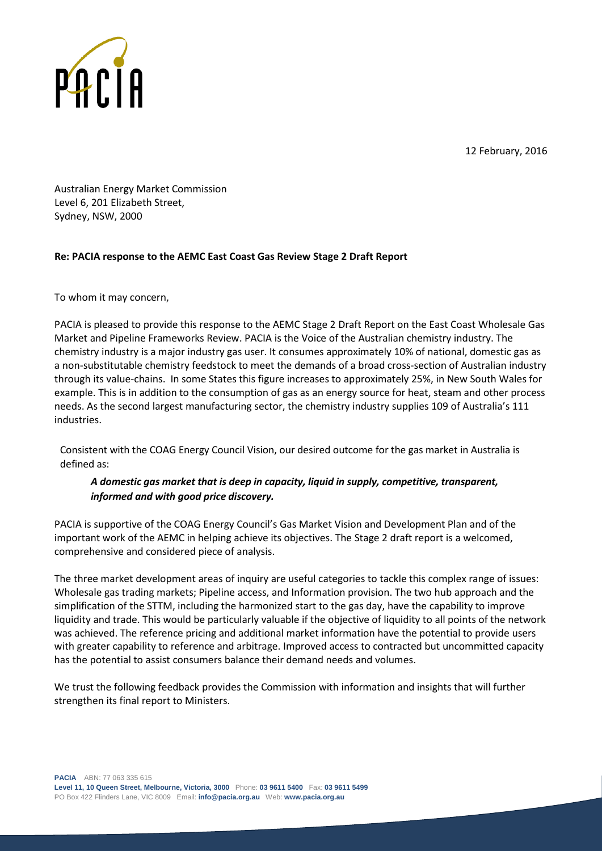



Australian Energy Market Commission Level 6, 201 Elizabeth Street, Sydney, NSW, 2000

## **Re: PACIA response to the AEMC East Coast Gas Review Stage 2 Draft Report**

To whom it may concern,

PACIA is pleased to provide this response to the AEMC Stage 2 Draft Report on the East Coast Wholesale Gas Market and Pipeline Frameworks Review. PACIA is the Voice of the Australian chemistry industry. The chemistry industry is a major industry gas user. It consumes approximately 10% of national, domestic gas as a non-substitutable chemistry feedstock to meet the demands of a broad cross-section of Australian industry through its value-chains. In some States this figure increases to approximately 25%, in New South Wales for example. This is in addition to the consumption of gas as an energy source for heat, steam and other process needs. As the second largest manufacturing sector, the chemistry industry supplies 109 of Australia's 111 industries.

Consistent with the COAG Energy Council Vision, our desired outcome for the gas market in Australia is defined as:

## *A domestic gas market that is deep in capacity, liquid in supply, competitive, transparent, informed and with good price discovery.*

PACIA is supportive of the COAG Energy Council's Gas Market Vision and Development Plan and of the important work of the AEMC in helping achieve its objectives. The Stage 2 draft report is a welcomed, comprehensive and considered piece of analysis.

The three market development areas of inquiry are useful categories to tackle this complex range of issues: Wholesale gas trading markets; Pipeline access, and Information provision. The two hub approach and the simplification of the STTM, including the harmonized start to the gas day, have the capability to improve liquidity and trade. This would be particularly valuable if the objective of liquidity to all points of the network was achieved. The reference pricing and additional market information have the potential to provide users with greater capability to reference and arbitrage. Improved access to contracted but uncommitted capacity has the potential to assist consumers balance their demand needs and volumes.

We trust the following feedback provides the Commission with information and insights that will further strengthen its final report to Ministers.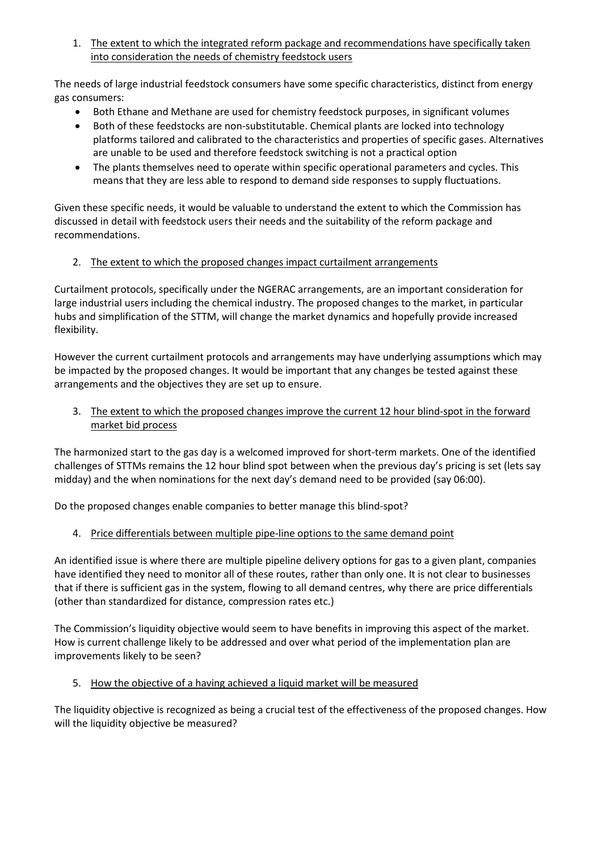1. The extent to which the integrated reform package and recommendations have specifically taken into consideration the needs of chemistry feedstock users

The needs of large industrial feedstock consumers have some specific characteristics, distinct from energy gas consumers:

- Both Ethane and Methane are used for chemistry feedstock purposes, in significant volumes
- Both of these feedstocks are non-substitutable. Chemical plants are locked into technology platforms tailored and calibrated to the characteristics and properties of specific gases. Alternatives are unable to be used and therefore feedstock switching is not a practical option
- The plants themselves need to operate within specific operational parameters and cycles. This means that they are less able to respond to demand side responses to supply fluctuations.

Given these specific needs, it would be valuable to understand the extent to which the Commission has discussed in detail with feedstock users their needs and the suitability of the reform package and recommendations.

2. The extent to which the proposed changes impact curtailment arrangements

Curtailment protocols, specifically under the NGERAC arrangements, are an important consideration for large industrial users including the chemical industry. The proposed changes to the market, in particular hubs and simplification of the STTM, will change the market dynamics and hopefully provide increased flexibility.

However the current curtailment protocols and arrangements may have underlying assumptions which may be impacted by the proposed changes. It would be important that any changes be tested against these arrangements and the objectives they are set up to ensure.

3. The extent to which the proposed changes improve the current 12 hour blind-spot in the forward market bid process

The harmonized start to the gas day is a welcomed improved for short-term markets. One of the identified challenges of STTMs remains the 12 hour blind spot between when the previous day's pricing is set (lets say midday) and the when nominations for the next day's demand need to be provided (say 06:00).

Do the proposed changes enable companies to better manage this blind-spot?

4. Price differentials between multiple pipe-line options to the same demand point

An identified issue is where there are multiple pipeline delivery options for gas to a given plant, companies have identified they need to monitor all of these routes, rather than only one. It is not clear to businesses that if there is sufficient gas in the system, flowing to all demand centres, why there are price differentials (other than standardized for distance, compression rates etc.)

The Commission's liquidity objective would seem to have benefits in improving this aspect of the market. How is current challenge likely to be addressed and over what period of the implementation plan are improvements likely to be seen?

5. How the objective of a having achieved a liquid market will be measured

The liquidity objective is recognized as being a crucial test of the effectiveness of the proposed changes. How will the liquidity objective be measured?